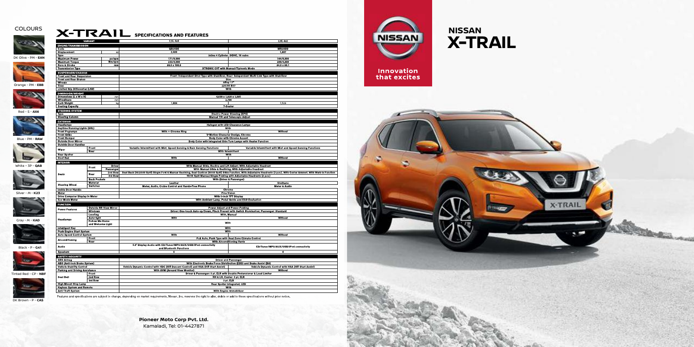## **COLOURS**



## **X-TRAIL** SPECIFICATIONS AND FEATURES

 $2.5L$  4x4

 $\frac{QR25DE}{2,488}$ 

171/6,000



233/4,000

89.0 x 100.0

 $1.604$ 

Inline 4 Cylinder, DOHC, 16 valve

**XTRONIC CVT with Manual/Tiptronic Mode** 

Front: Independent Strut Type with Stabilizer, Rear: Independent Multi-Link Type with Stabilizer

Disc<br>Allov 17" 225/65 R17 With 4,630 x 1,820 x 1,695  $2.706$ 

7 Seater Electric Power Steering (EPS)<br>Manual Tilt and Telescopic Adjust

With



With Engine Immobilizer

 $2.0L$  4x2

MR20DD  $\frac{1}{1,997}$ 

144/6,000

 $\frac{200/4,400}{84.0 \times 90.1}$ 

|                            | <b>ENGINE/TRANSMISSION</b>             |                          |      |
|----------------------------|----------------------------------------|--------------------------|------|
|                            | Code<br><b>Displacement</b>            |                          |      |
|                            | <b>Type</b>                            |                          |      |
| DK Olive - PM - <b>EAN</b> | <b>Maximum Power</b>                   |                          | ps   |
|                            | <b>Maximum Torque</b>                  |                          | Nm   |
|                            | <b>Bore &amp; Stroke</b>               |                          |      |
|                            | <b>Transmission Type</b>               |                          |      |
|                            | <b>SUSPENSION/CHASSIS</b>              |                          |      |
|                            | <b>Front and Rear Suspension</b>       |                          |      |
|                            | <b>Front and Rear Brakes</b>           |                          |      |
|                            | Wheels                                 |                          |      |
| Orange - PM - EBB          | Tires                                  |                          |      |
|                            | <b>Limited Slip Differential (LSD)</b> |                          |      |
|                            | <b>DIMENSION/WEIGHT</b>                |                          |      |
|                            | Dimensions (L x W x H)                 |                          |      |
|                            | Wheelbase                              |                          |      |
|                            | <b>Curb Weight</b>                     |                          |      |
|                            | <b>Seating Capacity</b>                |                          |      |
| Red - S - AX6              | <b>STEERING SYSTEM</b>                 |                          |      |
|                            | Type                                   |                          |      |
|                            | <b>Steering Column</b>                 |                          |      |
|                            | <b>EXTERIOR</b>                        |                          |      |
|                            | <b>Head amps</b>                       |                          |      |
|                            | <b>Daytime Running Lights (DRL)</b>    |                          |      |
|                            | <b>Front Foglamps</b>                  |                          |      |
|                            | <b>Front Grille</b>                    |                          |      |
| Blue - PM - RAW            | <b>Front Bumper</b>                    |                          |      |
|                            | <b>Outside Door Mirror</b>             |                          |      |
|                            | <b>Outside Door Handles</b>            |                          |      |
|                            | Wiper                                  | Front<br>Rear            |      |
|                            | Rear Spoiler                           |                          |      |
|                            | <b>Roof Rail</b>                       |                          |      |
|                            |                                        |                          |      |
|                            | <b>INTERIOR</b>                        |                          |      |
| White - 3P - QAB           | <b>Seats</b>                           | Front                    | Pass |
|                            |                                        |                          | 2nd  |
|                            |                                        | Rear                     | 3rd  |
|                            |                                        | <b>Back Pockets</b>      |      |
|                            | <b>Steering Wheel</b>                  | <b>Material</b>          |      |
|                            |                                        | <b>Switches</b>          |      |
|                            | <b>Inside Door Handle</b>              |                          |      |
| Silver - M - K23           | Meter                                  |                          |      |
|                            | Drive Computer Display in Meter        |                          |      |
|                            | <b>Eco Mode Meter</b>                  |                          |      |
|                            | <b>FUNCTION</b>                        |                          |      |
|                            |                                        | <b>Outside RR View M</b> |      |
|                            | <b>Power Features</b>                  | Windows                  |      |
|                            |                                        | Leveling                 |      |
| Gray - M - KAD             | <b>Head amps</b>                       | <b>Auto-light</b>        |      |
|                            |                                        | <b>Follow Me Home</b>    |      |
|                            |                                        | and Welcome Light        |      |
|                            | <b>Intelligent Key</b>                 |                          |      |
|                            | Push Engine Start System               |                          |      |
|                            | <b>Auto Speed Control System</b>       |                          |      |
|                            | Airconditioning                        | Front                    |      |
|                            |                                        | Rear                     |      |
| Black - P - G41            | Audio                                  |                          |      |
|                            |                                        |                          |      |
|                            | <b>Speakers</b>                        |                          |      |
|                            | SAFETY/SECURITY                        |                          |      |
|                            | <b>SRS Airbag</b>                      |                          |      |

**Keyless System and Remote** 

Anti-Theft System

Tinted Red - CP - **NBF**

**Halogen with LED Clearance Lamps** With + Chrome Ring V-Motion Character Design, Chrome Body Color with Chrome Accent<br>Body Color with Integrated Side Turn Lamps with Heater Function Variable Intermittent with Mist, Speed Sensing & Rain Sensing Functions Variable Intermittent with Mist and Speed Sensing Functions With With Without With Manual Slide, Recline and Lift Adjust; With Adjustable Headrest With Manual Silde & Reclining, With Adjustable Headrest<br>Row Seat Back (40:20:40 Split) Single Fold & Manual Reclining, Seat Cushion (60:40 Split) Slide Function, With Adjustable Headrests (3 pcs.), With Center Armrest, Wit missional control control principle Folding with Adjustable Headrests (2 pcs.)<br>50:50 Split Manual Single Folding with Adjustable Headrests (2 pcs.)<br>With (Driver & Passenger) Leather<br>Meter, Audio, Cruise Control and Hands-Free Phone **Urethane**<br>Meter & Audio Chrome Eine Vision<br>Fine Vision<br>With 5-inch TFT Display With Ambient Lamp, Pedal Guide and ECO Evaluation **Power Adjust and Power-Folding Driver: One-touch Auto** p/Down, Pinch Prevent with Switch Illumin With, Manual With With With With Without Full Auto, Push Type with Dual Zone Climate Control **With Airconditioning Vents** 5.0" Display Audio with CD/Tuner/MP3/AUX/USB/iPod connec CD/Tuner/MP3/AUX/USB/iPod connectivity and Bluetooth Functions **Priver and Passenge** ABS (Anti-lock Brake System) With Electronic Brake Force Distribution (EBD) and Brake Assist (BA) Vehicle Stability Control Vehicle Dynamic Control with HDC (Hill Descent Control) and HSA (Hill Start Assist) Vehicle Dynamic Control with HSA (Hill Start Assist) With AVM (Around View Monite **Parking and Driving Assistance** 3 pt. ELR with Double Pretensioner & Load Limit Driver & Doc Pront<br>2nd Row<br>3rd Row Seat Belt RH & LH, Center: 3 pt. ELR 3 pt ELR **High Mount Stop Lamp** Rear Spoiler Integrated, LED

**NISSAN** 

DK Brown - P - **CAS**

**Pioneer Moto Corp Pvt. Ltd.** Kamaladi, Tel: 01-4427871

Features and specifications are subject to change, depending on market requirements. Nissan, Inc. reserves the right to alter, delete or add to these specifications without prior notice.